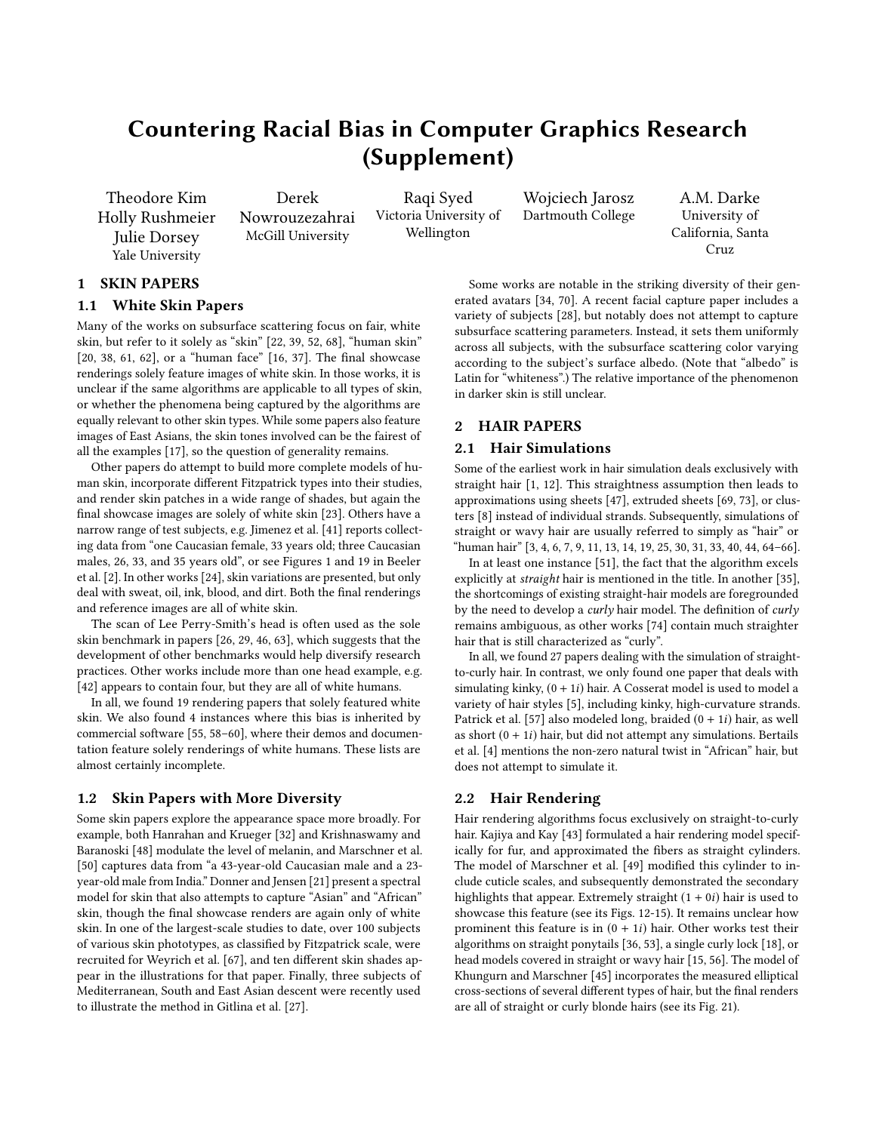# Countering Racial Bias in Computer Graphics Research (Supplement)

Theodore Kim Holly Rushmeier Julie Dorsey Yale University

Derek Nowrouzezahrai McGill University

Raqi Syed Victoria University of Wellington

Wojciech Jarosz Dartmouth College

A.M. Darke University of California, Santa Cruz

# 1 SKIN PAPERS

## 1.1 White Skin Papers

Many of the works on subsurface scattering focus on fair, white skin, but refer to it solely as "skin" [\[22,](#page-1-0) [39,](#page-1-1) [52,](#page-2-0) [68\]](#page-2-1), "human skin" [\[20,](#page-1-2) [38,](#page-1-3) [61,](#page-2-2) [62\]](#page-2-3), or a "human face" [\[16,](#page-1-4) [37\]](#page-1-5). The final showcase renderings solely feature images of white skin. In those works, it is unclear if the same algorithms are applicable to all types of skin, or whether the phenomena being captured by the algorithms are equally relevant to other skin types. While some papers also feature images of East Asians, the skin tones involved can be the fairest of all the examples [\[17\]](#page-1-6), so the question of generality remains.

Other papers do attempt to build more complete models of human skin, incorporate different Fitzpatrick types into their studies, and render skin patches in a wide range of shades, but again the final showcase images are solely of white skin [\[23\]](#page-1-7). Others have a narrow range of test subjects, e.g. Jimenez et al. [\[41\]](#page-1-8) reports collecting data from "one Caucasian female, 33 years old; three Caucasian males, 26, 33, and 35 years old", or see Figures 1 and 19 in Beeler et al. [\[2\]](#page-1-9). In other works [\[24\]](#page-1-10), skin variations are presented, but only deal with sweat, oil, ink, blood, and dirt. Both the final renderings and reference images are all of white skin.

The scan of Lee Perry-Smith's head is often used as the sole skin benchmark in papers [\[26,](#page-1-11) [29,](#page-1-12) [46,](#page-1-13) [63\]](#page-2-4), which suggests that the development of other benchmarks would help diversify research practices. Other works include more than one head example, e.g. [\[42\]](#page-1-14) appears to contain four, but they are all of white humans.

In all, we found 19 rendering papers that solely featured white skin. We also found 4 instances where this bias is inherited by commercial software [\[55,](#page-2-5) [58–](#page-2-6)[60\]](#page-2-7), where their demos and documentation feature solely renderings of white humans. These lists are almost certainly incomplete.

#### 1.2 Skin Papers with More Diversity

Some skin papers explore the appearance space more broadly. For example, both Hanrahan and Krueger [\[32\]](#page-1-15) and Krishnaswamy and Baranoski [\[48\]](#page-2-8) modulate the level of melanin, and Marschner et al. [\[50\]](#page-2-9) captures data from "a 43-year-old Caucasian male and a 23 year-old male from India." Donner and Jensen [\[21\]](#page-1-16) present a spectral model for skin that also attempts to capture "Asian" and "African" skin, though the final showcase renders are again only of white skin. In one of the largest-scale studies to date, over 100 subjects of various skin phototypes, as classified by Fitzpatrick scale, were recruited for Weyrich et al. [\[67\]](#page-2-10), and ten different skin shades appear in the illustrations for that paper. Finally, three subjects of Mediterranean, South and East Asian descent were recently used to illustrate the method in Gitlina et al. [\[27\]](#page-1-17).

Some works are notable in the striking diversity of their generated avatars [\[34,](#page-1-18) [70\]](#page-2-11). A recent facial capture paper includes a variety of subjects [\[28\]](#page-1-19), but notably does not attempt to capture subsurface scattering parameters. Instead, it sets them uniformly across all subjects, with the subsurface scattering color varying according to the subject's surface albedo. (Note that "albedo" is Latin for "whiteness".) The relative importance of the phenomenon in darker skin is still unclear.

## 2 HAIR PAPERS

### 2.1 Hair Simulations

Some of the earliest work in hair simulation deals exclusively with straight hair [\[1,](#page-1-20) [12\]](#page-1-21). This straightness assumption then leads to approximations using sheets [\[47\]](#page-1-22), extruded sheets [\[69,](#page-2-12) [73\]](#page-2-13), or clusters [\[8\]](#page-1-23) instead of individual strands. Subsequently, simulations of straight or wavy hair are usually referred to simply as "hair" or "human hair" [\[3,](#page-1-24) [4,](#page-1-25) [6,](#page-1-26) [7,](#page-1-27) [9,](#page-1-28) [11,](#page-1-29) [13,](#page-1-30) [14,](#page-1-31) [19,](#page-1-32) [25,](#page-1-33) [30,](#page-1-34) [31,](#page-1-35) [33,](#page-1-36) [40,](#page-1-37) [44,](#page-1-38) [64](#page-2-14)[–66\]](#page-2-15).

In at least one instance [\[51\]](#page-2-16), the fact that the algorithm excels explicitly at straight hair is mentioned in the title. In another [\[35\]](#page-1-39), the shortcomings of existing straight-hair models are foregrounded by the need to develop a curly hair model. The definition of curly remains ambiguous, as other works [\[74\]](#page-2-17) contain much straighter hair that is still characterized as "curly".

In all, we found 27 papers dealing with the simulation of straightto-curly hair. In contrast, we only found one paper that deals with simulating kinky,  $(0 + 1i)$  hair. A Cosserat model is used to model a variety of hair styles [\[5\]](#page-1-40), including kinky, high-curvature strands. Patrick et al. [\[57\]](#page-2-18) also modeled long, braided  $(0 + 1i)$  hair, as well as short  $(0 + 1i)$  hair, but did not attempt any simulations. Bertails et al. [\[4\]](#page-1-25) mentions the non-zero natural twist in "African" hair, but does not attempt to simulate it.

#### 2.2 Hair Rendering

Hair rendering algorithms focus exclusively on straight-to-curly hair. Kajiya and Kay [\[43\]](#page-1-41) formulated a hair rendering model specifically for fur, and approximated the fibers as straight cylinders. The model of Marschner et al. [\[49\]](#page-2-19) modified this cylinder to include cuticle scales, and subsequently demonstrated the secondary highlights that appear. Extremely straight  $(1 + 0i)$  hair is used to showcase this feature (see its Figs. 12-15). It remains unclear how prominent this feature is in  $(0 + 1i)$  hair. Other works test their algorithms on straight ponytails [\[36,](#page-1-42) [53\]](#page-2-20), a single curly lock [\[18\]](#page-1-43), or head models covered in straight or wavy hair [\[15,](#page-1-44) [56\]](#page-2-21). The model of Khungurn and Marschner [\[45\]](#page-1-45) incorporates the measured elliptical cross-sections of several different types of hair, but the final renders are all of straight or curly blonde hairs (see its Fig. 21).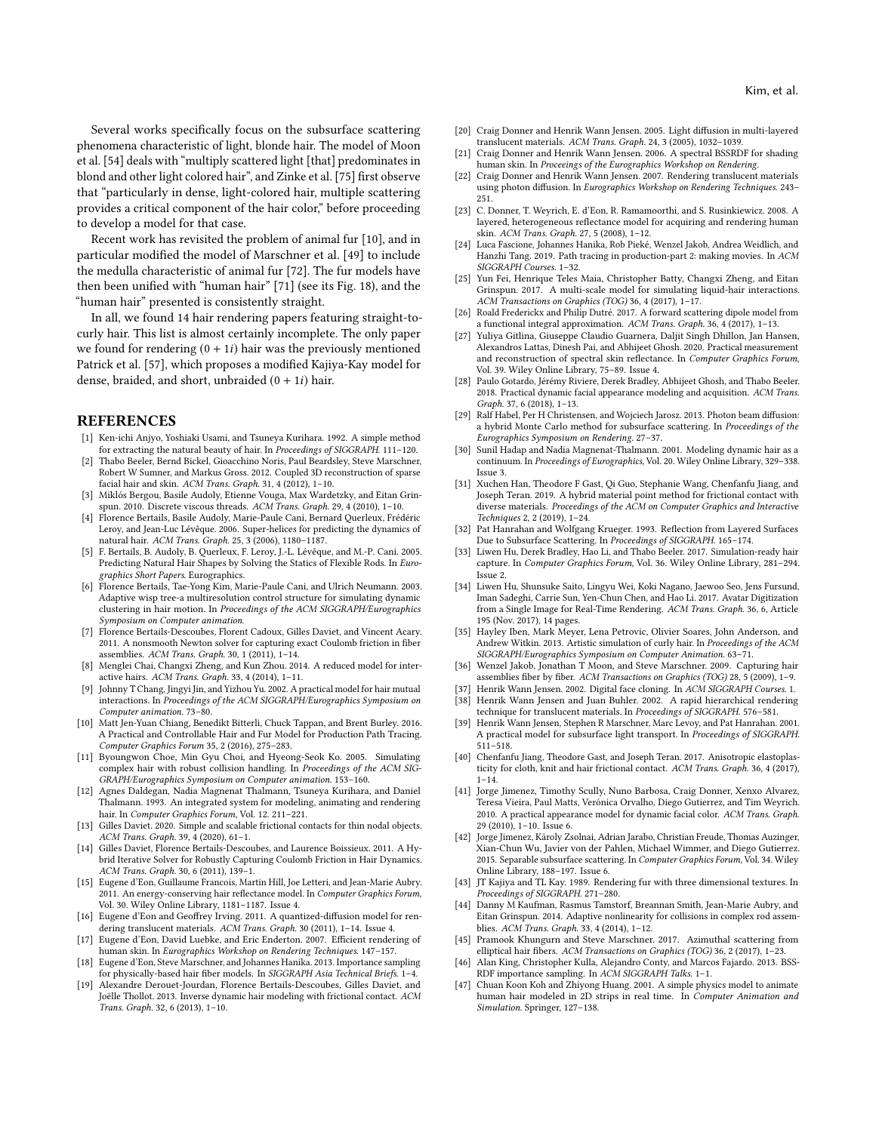Several works specifically focus on the subsurface scattering phenomena characteristic of light, blonde hair. The model of Moon et al. [\[54\]](#page-2-22) deals with "multiply scattered light [that] predominates in blond and other light colored hair", and Zinke et al. [\[75\]](#page-2-23) first observe that "particularly in dense, light-colored hair, multiple scattering provides a critical component of the hair color," before proceeding to develop a model for that case.

Recent work has revisited the problem of animal fur [\[10\]](#page-1-46), and in particular modified the model of Marschner et al. [\[49\]](#page-2-19) to include the medulla characteristic of animal fur [\[72\]](#page-2-24). The fur models have then been unified with "human hair" [\[71\]](#page-2-25) (see its Fig. 18), and the "human hair" presented is consistently straight.

In all, we found 14 hair rendering papers featuring straight-tocurly hair. This list is almost certainly incomplete. The only paper we found for rendering  $(0 + 1i)$  hair was the previously mentioned Patrick et al. [\[57\]](#page-2-18), which proposes a modified Kajiya-Kay model for dense, braided, and short, unbraided  $(0 + 1i)$  hair.

#### REFERENCES

- <span id="page-1-20"></span>[1] Ken-ichi Anjyo, Yoshiaki Usami, and Tsuneya Kurihara. 1992. A simple method for extracting the natural beauty of hair. In Proceedings of SIGGRAPH. 111–120.
- <span id="page-1-9"></span>[2] Thabo Beeler, Bernd Bickel, Gioacchino Noris, Paul Beardsley, Steve Marschner, Robert W Sumner, and Markus Gross. 2012. Coupled 3D reconstruction of sparse facial hair and skin. ACM Trans. Graph. 31, 4 (2012), 1–10.
- <span id="page-1-24"></span>[3] Miklós Bergou, Basile Audoly, Etienne Vouga, Max Wardetzky, and Eitan Grinspun. 2010. Discrete viscous threads. ACM Trans. Graph. 29, 4 (2010), 1-10.
- <span id="page-1-25"></span>[4] Florence Bertails, Basile Audoly, Marie-Paule Cani, Bernard Querleux, Frédéric Leroy, and Jean-Luc Lévêque. 2006. Super-helices for predicting the dynamics of natural hair. ACM Trans. Graph. 25, 3 (2006), 1180–1187.
- <span id="page-1-40"></span>[5] F. Bertails, B. Audoly, B. Querleux, F. Leroy, J.-L. Lévêque, and M.-P. Cani. 2005. Predicting Natural Hair Shapes by Solving the Statics of Flexible Rods. In Eurographics Short Papers. Eurographics.
- <span id="page-1-26"></span>[6] Florence Bertails, Tae-Yong Kim, Marie-Paule Cani, and Ulrich Neumann. 2003. Adaptive wisp tree-a multiresolution control structure for simulating dynamic clustering in hair motion. In Proceedings of the ACM SIGGRAPH/Eurographics Symposium on Computer animation.
- <span id="page-1-27"></span>[7] Florence Bertails-Descoubes, Florent Cadoux, Gilles Daviet, and Vincent Acary. 2011. A nonsmooth Newton solver for capturing exact Coulomb friction in fiber assemblies. ACM Trans. Graph. 30, 1 (2011), 1–14.
- <span id="page-1-23"></span>[8] Menglei Chai, Changxi Zheng, and Kun Zhou. 2014. A reduced model for interactive hairs. ACM Trans. Graph. 33, 4 (2014), 1–11.
- <span id="page-1-28"></span>[9] Johnny T Chang, Jingyi Jin, and Yizhou Yu. 2002. A practical model for hair mutual interactions. In Proceedings of the ACM SIGGRAPH/Eurographics Symposium on Computer animation. 73–80.
- <span id="page-1-46"></span>[10] Matt Jen-Yuan Chiang, Benedikt Bitterli, Chuck Tappan, and Brent Burley. 2016. A Practical and Controllable Hair and Fur Model for Production Path Tracing. Computer Graphics Forum 35, 2 (2016), 275–283.
- <span id="page-1-29"></span>[11] Byoungwon Choe, Min Gyu Choi, and Hyeong-Seok Ko. 2005. Simulating complex hair with robust collision handling. In Proceedings of the ACM SIG-GRAPH/Eurographics Symposium on Computer animation. 153–160.
- <span id="page-1-21"></span>[12] Agnes Daldegan, Nadia Magnenat Thalmann, Tsuneya Kurihara, and Daniel Thalmann. 1993. An integrated system for modeling, animating and rendering hair. In Computer Graphics Forum, Vol. 12. 211–221.
- <span id="page-1-30"></span>[13] Gilles Daviet. 2020. Simple and scalable frictional contacts for thin nodal objects. ACM Trans. Graph. 39, 4 (2020), 61–1.
- <span id="page-1-31"></span>[14] Gilles Daviet, Florence Bertails-Descoubes, and Laurence Boissieux. 2011. A Hybrid Iterative Solver for Robustly Capturing Coulomb Friction in Hair Dynamics. ACM Trans. Graph. 30, 6 (2011), 139–1.
- <span id="page-1-44"></span>[15] Eugene d'Eon, Guillaume Francois, Martin Hill, Joe Letteri, and Jean-Marie Aubry. 2011. An energy-conserving hair reflectance model. In Computer Graphics Forum, Vol. 30. Wiley Online Library, 1181–1187. Issue 4.
- <span id="page-1-4"></span>[16] Eugene d'Eon and Geoffrey Irving. 2011. A quantized-diffusion model for rendering translucent materials. ACM Trans. Graph. 30 (2011), 1–14. Issue 4.
- <span id="page-1-6"></span>[17] Eugene d'Eon, David Luebke, and Eric Enderton. 2007. Efficient rendering of human skin. In Eurographics Workshop on Rendering Techniques. 147–157.
- <span id="page-1-43"></span>[18] Eugene d'Eon, Steve Marschner, and Johannes Hanika. 2013. Importance sampling for physically-based hair fiber models. In SIGGRAPH Asia Technical Briefs. 1–4.
- <span id="page-1-32"></span>[19] Alexandre Derouet-Jourdan, Florence Bertails-Descoubes, Gilles Daviet, and Joëlle Thollot. 2013. Inverse dynamic hair modeling with frictional contact. ACM Trans. Graph. 32, 6 (2013), 1–10.
- <span id="page-1-2"></span>[20] Craig Donner and Henrik Wann Jensen. 2005. Light diffusion in multi-layered
- <span id="page-1-16"></span>translucent materials. ACM Trans. Graph. 24, 3 (2005), 1032–1039. [21] Craig Donner and Henrik Wann Jensen. 2006. A spectral BSSRDF for shading
- <span id="page-1-0"></span>human skin. In Proceeings of the Eurographics Workshop on Rendering. [22] Craig Donner and Henrik Wann Jensen. 2007. Rendering translucent materials using photon diffusion. In Eurographics Workshop on Rendering Techniques. 243–
- <span id="page-1-7"></span>251. [23] C. Donner, T. Weyrich, E. d'Eon, R. Ramamoorthi, and S. Rusinkiewicz. 2008. A layered, heterogeneous reflectance model for acquiring and rendering human skin. ACM Trans. Graph. 27, 5 (2008), 1–12.
- <span id="page-1-10"></span>[24] Luca Fascione, Johannes Hanika, Rob Pieké, Wenzel Jakob, Andrea Weidlich, and Hanzhi Tang. 2019. Path tracing in production-part 2: making movies. In ACM SIGGRAPH Courses. 1–32.
- <span id="page-1-33"></span>[25] Yun Fei, Henrique Teles Maia, Christopher Batty, Changxi Zheng, and Eitan Grinspun. 2017. A multi-scale model for simulating liquid-hair interactions. ACM Transactions on Graphics (TOG) 36, 4 (2017), 1–17.
- <span id="page-1-11"></span>[26] Roald Frederickx and Philip Dutré. 2017. A forward scattering dipole model from a functional integral approximation. ACM Trans. Graph. 36, 4 (2017), 1–13.
- <span id="page-1-17"></span>[27] Yuliya Gitlina, Giuseppe Claudio Guarnera, Daljit Singh Dhillon, Jan Hansen, Alexandros Lattas, Dinesh Pai, and Abhijeet Ghosh. 2020. Practical measurement and reconstruction of spectral skin reflectance. In Computer Graphics Forum, Vol. 39. Wiley Online Library, 75–89. Issue 4.
- <span id="page-1-19"></span>[28] Paulo Gotardo, Jérémy Riviere, Derek Bradley, Abhijeet Ghosh, and Thabo Beeler. 2018. Practical dynamic facial appearance modeling and acquisition. ACM Trans. Graph. 37, 6 (2018), 1–13.
- <span id="page-1-12"></span>[29] Ralf Habel, Per H Christensen, and Wojciech Jarosz. 2013. Photon beam diffusion: a hybrid Monte Carlo method for subsurface scattering. In Proceedings of the Eurographics Symposium on Rendering. 27–37.
- <span id="page-1-34"></span>[30] Sunil Hadap and Nadia Magnenat-Thalmann. 2001. Modeling dynamic hair as a continuum. In Proceedings of Eurographics, Vol. 20. Wiley Online Library, 329–338. Issue 3.
- <span id="page-1-35"></span>[31] Xuchen Han, Theodore F Gast, Qi Guo, Stephanie Wang, Chenfanfu Jiang, and Joseph Teran. 2019. A hybrid material point method for frictional contact with diverse materials. Proceedings of the ACM on Computer Graphics and Interactive Techniques 2, 2 (2019), 1–24.
- <span id="page-1-15"></span>[32] Pat Hanrahan and Wolfgang Krueger. 1993. Reflection from Layered Surfaces Due to Subsurface Scattering. In Proceedings of SIGGRAPH. 165–174.
- <span id="page-1-36"></span>[33] Liwen Hu, Derek Bradley, Hao Li, and Thabo Beeler. 2017. Simulation-ready hair capture. In Computer Graphics Forum, Vol. 36. Wiley Online Library, 281–294. Issue 2.
- <span id="page-1-18"></span>[34] Liwen Hu, Shunsuke Saito, Lingyu Wei, Koki Nagano, Jaewoo Seo, Jens Fursund, Iman Sadeghi, Carrie Sun, Yen-Chun Chen, and Hao Li. 2017. Avatar Digitization from a Single Image for Real-Time Rendering. ACM Trans. Graph. 36, 6, Article 195 (Nov. 2017), 14 pages.
- <span id="page-1-39"></span>[35] Hayley Iben, Mark Meyer, Lena Petrovic, Olivier Soares, John Anderson, and Andrew Witkin. 2013. Artistic simulation of curly hair. In Proceedings of the ACM SIGGRAPH/Eurographics Symposium on Computer Animation. 63–71.
- <span id="page-1-42"></span>[36] Wenzel Jakob, Jonathan T Moon, and Steve Marschner. 2009. Capturing hair assemblies fiber by fiber. ACM Transactions on Graphics (TOG) 28, 5 (2009), 1–9.
- <span id="page-1-5"></span><span id="page-1-3"></span>[37] Henrik Wann Jensen. 2002. Digital face cloning. In ACM SIGGRAPH Courses. 1. [38] Henrik Wann Jensen and Juan Buhler. 2002. A rapid hierarchical rendering
- <span id="page-1-1"></span>technique for translucent materials. In Proceedings of SIGGRAPH. 576–581. [39] Henrik Wann Jensen, Stephen R Marschner, Marc Levoy, and Pat Hanrahan. 2001. A practical model for subsurface light transport. In Proceedings of SIGGRAPH.
- <span id="page-1-37"></span>511–518. [40] Chenfanfu Jiang, Theodore Gast, and Joseph Teran. 2017. Anisotropic elastoplasticity for cloth, knit and hair frictional contact. ACM Trans. Graph. 36, 4 (2017), 1–14.
- <span id="page-1-8"></span>[41] Jorge Jimenez, Timothy Scully, Nuno Barbosa, Craig Donner, Xenxo Alvarez, Teresa Vieira, Paul Matts, Verónica Orvalho, Diego Gutierrez, and Tim Weyrich. 2010. A practical appearance model for dynamic facial color. ACM Trans. Graph. 29 (2010), 1–10. Issue 6.
- <span id="page-1-14"></span>[42] Jorge Jimenez, Károly Zsolnai, Adrian Jarabo, Christian Freude, Thomas Auzinger, Xian-Chun Wu, Javier von der Pahlen, Michael Wimmer, and Diego Gutierrez. 2015. Separable subsurface scattering. In Computer Graphics Forum, Vol. 34. Wiley Online Library, 188–197. Issue 6.
- <span id="page-1-41"></span>[43] JT Kajiya and TL Kay. 1989. Rendering fur with three dimensional textures. In Proceedings of SIGGRAPH. 271–280.
- <span id="page-1-38"></span>[44] Danny M Kaufman, Rasmus Tamstorf, Breannan Smith, Jean-Marie Aubry, and Eitan Grinspun. 2014. Adaptive nonlinearity for collisions in complex rod assemblies. ACM Trans. Graph. 33, 4 (2014), 1–12.
- <span id="page-1-45"></span>[45] Pramook Khungurn and Steve Marschner. 2017. Azimuthal scattering from elliptical hair fibers. ACM Transactions on Graphics (TOG) 36, 2 (2017), 1–23.
- <span id="page-1-13"></span>[46] Alan King, Christopher Kulla, Alejandro Conty, and Marcos Fajardo. 2013. BSS-RDF importance sampling. In ACM SIGGRAPH Talks. 1–1.
- <span id="page-1-22"></span>[47] Chuan Koon Koh and Zhiyong Huang. 2001. A simple physics model to animate human hair modeled in 2D strips in real time. In Computer Animation and Simulation. Springer, 127–138.